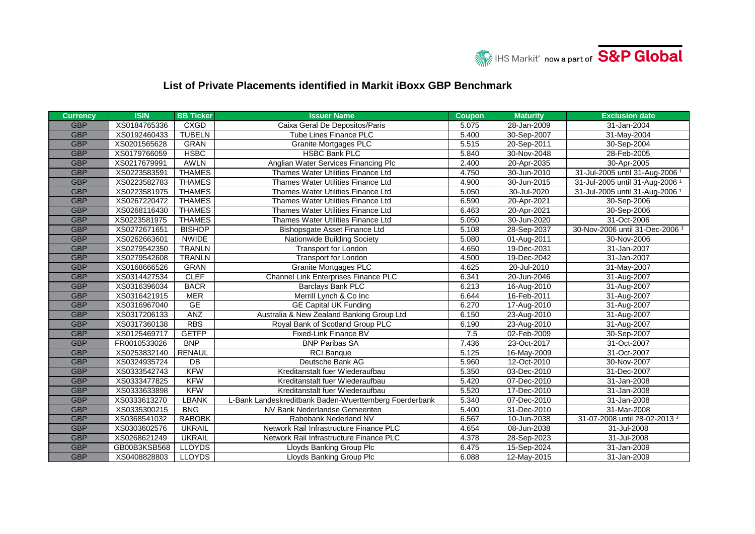

## **List of Private Placements identified in Markit iBoxx GBP Benchmark**

| <b>Currency</b> | <b>ISIN</b>  | <b>BB Ticker</b> | <b>Issuer Name</b>                                     | <b>Coupon</b> | <b>Maturity</b> | <b>Exclusion date</b>                      |
|-----------------|--------------|------------------|--------------------------------------------------------|---------------|-----------------|--------------------------------------------|
| <b>GBP</b>      | XS0184765336 | <b>CXGD</b>      | Caixa Geral De Depositos/Paris                         | 5.075         | 28-Jan-2009     | 31-Jan-2004                                |
| <b>GBP</b>      | XS0192460433 | <b>TUBELN</b>    | <b>Tube Lines Finance PLC</b>                          | 5.400         | 30-Sep-2007     | 31-May-2004                                |
| <b>GBP</b>      | XS0201565628 | <b>GRAN</b>      | <b>Granite Mortgages PLC</b>                           | 5.515         | 20-Sep-2011     | 30-Sep-2004                                |
| <b>GBP</b>      | XS0179766059 | <b>HSBC</b>      | <b>HSBC Bank PLC</b>                                   | 5.840         | 30-Nov-2048     | 28-Feb-2005                                |
| <b>GBP</b>      | XS0217679991 | <b>AWLN</b>      | Anglian Water Services Financing Plc                   | 2.400         | 20-Apr-2035     | 30-Apr-2005                                |
| <b>GBP</b>      | XS0223583591 | <b>THAMES</b>    | Thames Water Utilities Finance Ltd                     | 4.750         | 30-Jun-2010     | 31-Jul-2005 until 31-Aug-2006 <sup>1</sup> |
| <b>GBP</b>      | XS0223582783 | <b>THAMES</b>    | Thames Water Utilities Finance Ltd                     | 4.900         | 30-Jun-2015     | 31-Jul-2005 until 31-Aug-2006 <sup>1</sup> |
| <b>GBP</b>      | XS0223581975 | <b>THAMES</b>    | Thames Water Utilities Finance Ltd                     | 5.050         | 30-Jul-2020     | 31-Jul-2005 until 31-Aug-2006 <sup>1</sup> |
| <b>GBP</b>      | XS0267220472 | <b>THAMES</b>    | Thames Water Utilities Finance Ltd                     | 6.590         | 20-Apr-2021     | 30-Sep-2006                                |
| <b>GBP</b>      | XS0268116430 | <b>THAMES</b>    | Thames Water Utilities Finance Ltd                     | 6.463         | 20-Apr-2021     | 30-Sep-2006                                |
| <b>GBP</b>      | XS0223581975 | <b>THAMES</b>    | Thames Water Utilities Finance Ltd                     | 5.050         | 30-Jun-2020     | 31-Oct-2006                                |
| <b>GBP</b>      | XS0272671651 | <b>BISHOP</b>    | Bishopsgate Asset Finance Ltd                          | 5.108         | 28-Sep-2037     | 30-Nov-2006 until 31-Dec-2006 <sup>2</sup> |
| <b>GBP</b>      | XS0262663601 | <b>NWIDE</b>     | Nationwide Building Society                            | 5.080         | 01-Aug-2011     | 30-Nov-2006                                |
| <b>GBP</b>      | XS0279542350 | <b>TRANLN</b>    | <b>Transport for London</b>                            | 4.650         | 19-Dec-2031     | 31-Jan-2007                                |
| <b>GBP</b>      | XS0279542608 | <b>TRANLN</b>    | <b>Transport for London</b>                            | 4.500         | 19-Dec-2042     | 31-Jan-2007                                |
| <b>GBP</b>      | XS0168666526 | <b>GRAN</b>      | <b>Granite Mortgages PLC</b>                           | 4.625         | 20-Jul-2010     | 31-May-2007                                |
| <b>GBP</b>      | XS0314427534 | <b>CLEF</b>      | Channel Link Enterprises Finance PLC                   | 6.341         | 20-Jun-2046     | 31-Aug-2007                                |
| <b>GBP</b>      | XS0316396034 | <b>BACR</b>      | <b>Barclays Bank PLC</b>                               | 6.213         | 16-Aug-2010     | 31-Aug-2007                                |
| <b>GBP</b>      | XS0316421915 | <b>MER</b>       | Merrill Lynch & Co Inc                                 | 6.644         | 16-Feb-2011     | 31-Aug-2007                                |
| <b>GBP</b>      | XS0316967040 | <b>GE</b>        | <b>GE Capital UK Funding</b>                           | 6.270         | 17-Aug-2010     | 31-Aug-2007                                |
| <b>GBP</b>      | XS0317206133 | <b>ANZ</b>       | Australia & New Zealand Banking Group Ltd              | 6.150         | 23-Aug-2010     | 31-Aug-2007                                |
| <b>GBP</b>      | XS0317360138 | <b>RBS</b>       | Royal Bank of Scotland Group PLC                       | 6.190         | 23-Aug-2010     | 31-Aug-2007                                |
| <b>GBP</b>      | XS0125469717 | <b>GETFP</b>     | Fixed-Link Finance BV                                  | 7.5           | 02-Feb-2009     | 30-Sep-2007                                |
| <b>GBP</b>      | FR0010533026 | <b>BNP</b>       | <b>BNP Paribas SA</b>                                  | 7.436         | 23-Oct-2017     | 31-Oct-2007                                |
| <b>GBP</b>      | XS0253832140 | <b>RENAUL</b>    | <b>RCI</b> Banque                                      | 5.125         | 16-May-2009     | 31-Oct-2007                                |
| <b>GBP</b>      | XS0324935724 | DB               | Deutsche Bank AG                                       | 5.960         | 12-Oct-2010     | 30-Nov-2007                                |
| <b>GBP</b>      | XS0333542743 | <b>KFW</b>       | Kreditanstalt fuer Wiederaufbau                        | 5.350         | 03-Dec-2010     | 31-Dec-2007                                |
| <b>GBP</b>      | XS0333477825 | <b>KFW</b>       | Kreditanstalt fuer Wiederaufbau                        | 5.420         | 07-Dec-2010     | 31-Jan-2008                                |
| <b>GBP</b>      | XS0333633898 | <b>KFW</b>       | Kreditanstalt fuer Wiederaufbau                        | 5.520         | 17-Dec-2010     | 31-Jan-2008                                |
| <b>GBP</b>      | XS0333613270 | <b>LBANK</b>     | L-Bank Landeskreditbank Baden-Wuerttemberg Foerderbank | 5.340         | 07-Dec-2010     | 31-Jan-2008                                |
| <b>GBP</b>      | XS0335300215 | <b>BNG</b>       | NV Bank Nederlandse Gemeenten                          | 5.400         | 31-Dec-2010     | 31-Mar-2008                                |
| <b>GBP</b>      | XS0368541032 | <b>RABOBK</b>    | Rabobank Nederland NV                                  | 6.567         | 10-Jun-2038     | 31-07-2008 until 28-02-2013 <sup>3</sup>   |
| <b>GBP</b>      | XS0303602576 | <b>UKRAIL</b>    | Network Rail Infrastructure Finance PLC                | 4.654         | 08-Jun-2038     | 31-Jul-2008                                |
| <b>GBP</b>      | XS0268621249 | <b>UKRAIL</b>    | Network Rail Infrastructure Finance PLC                | 4.378         | 28-Sep-2023     | 31-Jul-2008                                |
| <b>GBP</b>      | GB00B3KSB568 | <b>LLOYDS</b>    | Lloyds Banking Group Plc                               | 6.475         | 15-Sep-2024     | 31-Jan-2009                                |
| <b>GBP</b>      | XS0408828803 | <b>LLOYDS</b>    | Lloyds Banking Group Plc                               | 6.088         | 12-May-2015     | 31-Jan-2009                                |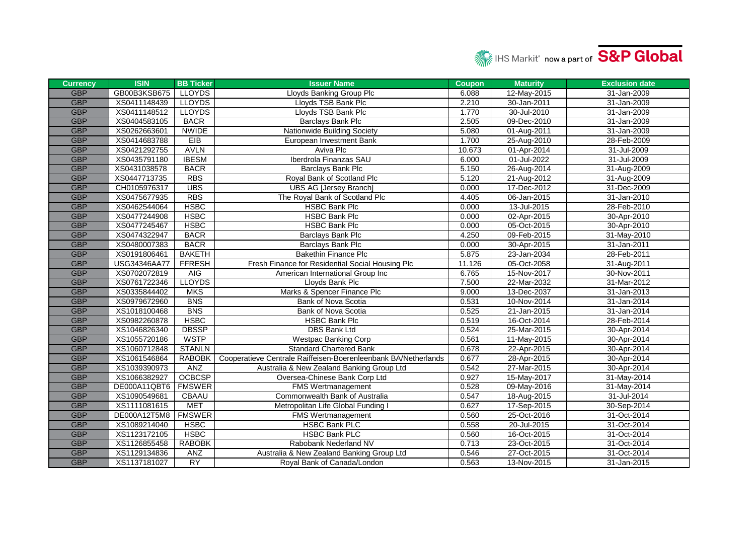

| <b>Currency</b> | <b>ISIN</b>  | <b>BB Ticker</b> | <b>Issuer Name</b>                                             | <b>Coupon</b> | <b>Maturity</b> | <b>Exclusion date</b> |
|-----------------|--------------|------------------|----------------------------------------------------------------|---------------|-----------------|-----------------------|
| <b>GBP</b>      | GB00B3KSB675 | <b>LLOYDS</b>    | <b>Lloyds Banking Group Plc</b>                                | 6.088         | 12-May-2015     | 31-Jan-2009           |
| <b>GBP</b>      | XS0411148439 | <b>LLOYDS</b>    | Lloyds TSB Bank Plc                                            | 2.210         | 30-Jan-2011     | 31-Jan-2009           |
| <b>GBP</b>      | XS0411148512 | <b>LLOYDS</b>    | Lloyds TSB Bank Plc                                            | 1.770         | 30-Jul-2010     | 31-Jan-2009           |
| <b>GBP</b>      | XS0404583105 | <b>BACR</b>      | Barclays Bank Plc                                              | 2.505         | 09-Dec-2010     | 31-Jan-2009           |
| <b>GBP</b>      | XS0262663601 | <b>NWIDE</b>     | Nationwide Building Society                                    | 5.080         | 01-Aug-2011     | 31-Jan-2009           |
| <b>GBP</b>      | XS0414683788 | EIB              | European Investment Bank                                       | 1.700         | 25-Aug-2010     | 28-Feb-2009           |
| <b>GBP</b>      | XS0421292755 | <b>AVLN</b>      | Aviva Plc                                                      | 10.673        | 01-Apr-2014     | 31-Jul-2009           |
| <b>GBP</b>      | XS0435791180 | <b>IBESM</b>     | Iberdrola Finanzas SAU                                         | 6.000         | 01-Jul-2022     | 31-Jul-2009           |
| <b>GBP</b>      | XS0431038578 | <b>BACR</b>      | Barclays Bank Plc                                              | 5.150         | 26-Aug-2014     | 31-Aug-2009           |
| <b>GBP</b>      | XS0447713735 | <b>RBS</b>       | Royal Bank of Scotland Plc                                     | 5.120         | 21-Aug-2012     | 31-Aug-2009           |
| <b>GBP</b>      | CH0105976317 | <b>UBS</b>       | <b>UBS AG [Jersey Branch]</b>                                  | 0.000         | 17-Dec-2012     | 31-Dec-2009           |
| <b>GBP</b>      | XS0475677935 | <b>RBS</b>       | The Royal Bank of Scotland Plc                                 | 4.405         | 06-Jan-2015     | 31-Jan-2010           |
| <b>GBP</b>      | XS0462544064 | <b>HSBC</b>      | <b>HSBC Bank Plc</b>                                           | 0.000         | 13-Jul-2015     | 28-Feb-2010           |
| <b>GBP</b>      | XS0477244908 | <b>HSBC</b>      | <b>HSBC Bank Plc</b>                                           | 0.000         | 02-Apr-2015     | 30-Apr-2010           |
| <b>GBP</b>      | XS0477245467 | <b>HSBC</b>      | <b>HSBC Bank Plc</b>                                           | 0.000         | 05-Oct-2015     | 30-Apr-2010           |
| <b>GBP</b>      | XS0474322947 | <b>BACR</b>      | Barclays Bank Plc                                              | 4.250         | 09-Feb-2015     | 31-May-2010           |
| <b>GBP</b>      | XS0480007383 | <b>BACR</b>      | Barclays Bank Plc                                              | 0.000         | 30-Apr-2015     | 31-Jan-2011           |
| <b>GBP</b>      | XS0191806461 | <b>BAKETH</b>    | <b>Bakethin Finance Plc</b>                                    | 5.875         | 23-Jan-2034     | 28-Feb-2011           |
| <b>GBP</b>      | USG34346AA77 | <b>FFRESH</b>    | Fresh Finance for Residential Social Housing Plc               | 11.126        | 05-Oct-2058     | 31-Aug-2011           |
| <b>GBP</b>      | XS0702072819 | AIG              | American International Group Inc                               | 6.765         | 15-Nov-2017     | 30-Nov-2011           |
| <b>GBP</b>      | XS0761722346 | <b>LLOYDS</b>    | Lloyds Bank Plc                                                | 7.500         | 22-Mar-2032     | 31-Mar-2012           |
| <b>GBP</b>      | XS0335844402 | <b>MKS</b>       | Marks & Spencer Finance Plc                                    | 9.000         | 13-Dec-2037     | 31-Jan-2013           |
| <b>GBP</b>      | XS0979672960 | <b>BNS</b>       | Bank of Nova Scotia                                            | 0.531         | 10-Nov-2014     | 31-Jan-2014           |
| <b>GBP</b>      | XS1018100468 | <b>BNS</b>       | Bank of Nova Scotia                                            | 0.525         | 21-Jan-2015     | 31-Jan-2014           |
| <b>GBP</b>      | XS0982260878 | <b>HSBC</b>      | <b>HSBC Bank Plc</b>                                           | 0.519         | 16-Oct-2014     | 28-Feb-2014           |
| <b>GBP</b>      | XS1046826340 | <b>DBSSP</b>     | <b>DBS Bank Ltd</b>                                            | 0.524         | 25-Mar-2015     | 30-Apr-2014           |
| <b>GBP</b>      | XS1055720186 | <b>WSTP</b>      | <b>Westpac Banking Corp</b>                                    | 0.561         | 11-May-2015     | 30-Apr-2014           |
| <b>GBP</b>      | XS1060712848 | <b>STANLN</b>    | <b>Standard Chartered Bank</b>                                 | 0.678         | 22-Apr-2015     | 30-Apr-2014           |
| <b>GBP</b>      | XS1061546864 | <b>RABOBK</b>    | Cooperatieve Centrale Raiffeisen-Boerenleenbank BA/Netherlands | 0.677         | 28-Apr-2015     | 30-Apr-2014           |
| <b>GBP</b>      | XS1039390973 | <b>ANZ</b>       | Australia & New Zealand Banking Group Ltd                      | 0.542         | 27-Mar-2015     | 30-Apr-2014           |
| <b>GBP</b>      | XS1066382927 | <b>OCBCSP</b>    | Oversea-Chinese Bank Corp Ltd                                  | 0.927         | 15-May-2017     | 31-May-2014           |
| <b>GBP</b>      | DE000A11QBT6 | <b>FMSWER</b>    | FMS Wertmanagement                                             | 0.528         | 09-May-2016     | 31-May-2014           |
| <b>GBP</b>      | XS1090549681 | <b>CBAAU</b>     | Commonwealth Bank of Australia                                 | 0.547         | 18-Aug-2015     | 31-Jul-2014           |
| <b>GBP</b>      | XS1111081615 | <b>MET</b>       | Metropolitan Life Global Funding I                             | 0.627         | 17-Sep-2015     | 30-Sep-2014           |
| <b>GBP</b>      | DE000A12T5M8 | <b>FMSWER</b>    | FMS Wertmanagement                                             | 0.560         | 25-Oct-2016     | 31-Oct-2014           |
| <b>GBP</b>      | XS1089214040 | <b>HSBC</b>      | <b>HSBC Bank PLC</b>                                           | 0.558         | 20-Jul-2015     | 31-Oct-2014           |
| <b>GBP</b>      | XS1123172105 | <b>HSBC</b>      | <b>HSBC Bank PLC</b>                                           | 0.560         | 16-Oct-2015     | 31-Oct-2014           |
| <b>GBP</b>      | XS1126855458 | <b>RABOBK</b>    | Rabobank Nederland NV                                          | 0.713         | 23-Oct-2015     | 31-Oct-2014           |
| <b>GBP</b>      | XS1129134836 | <b>ANZ</b>       | Australia & New Zealand Banking Group Ltd                      | 0.546         | 27-Oct-2015     | 31-Oct-2014           |
| <b>GBP</b>      | XS1137181027 | <b>RY</b>        | Royal Bank of Canada/London                                    | 0.563         | 13-Nov-2015     | 31-Jan-2015           |